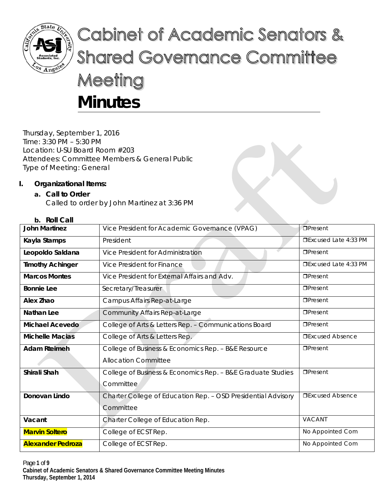

# Cabinet of Academic Senators & **Shared Governance Committee** Meeting **Minutes**

Thursday, September 1, 2016 Time: 3:30 PM – 5:30 PM Location: U-SU Board Room #203 Attendees: Committee Members & General Public Type of Meeting: General

# **I. Organizational Items:**

# **a. Call to Order**

Called to order by John Martinez at 3:36 PM

# **b. Roll Call**

| <b>John Martinez</b>     | Vice President for Academic Governance (VPAG)                 | <b>OPresent</b>             |
|--------------------------|---------------------------------------------------------------|-----------------------------|
| Kayla Stamps             | President                                                     | $\Box$ Excused Late 4:33 PM |
| Leopoldo Saldana         | Vice President for Administration                             | $D$ Present                 |
| <b>Timothy Achinger</b>  | Vice President for Finance                                    | □Excused Late 4:33 PM       |
| <b>Marcos Montes</b>     | Vice President for External Affairs and Adv.                  | $\Box$ Present              |
| <b>Bonnie Lee</b>        | Secretary/Treasurer                                           | $\Box$ Present              |
| Alex Zhao                | Campus Affairs Rep-at-Large                                   | $D$ Present                 |
| <b>Nathan Lee</b>        | <b>Community Affairs Rep-at-Large</b>                         | $D$ Present                 |
| Michael Acevedo          | College of Arts & Letters Rep. - Communications Board         | $\Box$ Present              |
| <b>Michelle Macias</b>   | College of Arts & Letters Rep.                                | <b>DExcused Absence</b>     |
| <b>Adam Rteimeh</b>      | College of Business & Economics Rep. - B&E Resource           | $\Box$ Present              |
|                          | <b>Allocation Committee</b>                                   |                             |
| Shirali Shah             | College of Business & Economics Rep. - B&E Graduate Studies   | $\Box$ Present              |
|                          | Committee                                                     |                             |
| Donovan Lindo            | Charter College of Education Rep. - OSD Presidential Advisory | <b>OExcused Absence</b>     |
|                          | Committee                                                     |                             |
| Vacant                   | Charter College of Education Rep.                             | VACANT                      |
| <b>Marvin Soltero</b>    | College of ECST Rep.                                          | No Appointed Com            |
| <b>Alexander Pedroza</b> | College of ECST Rep.                                          | No Appointed Com            |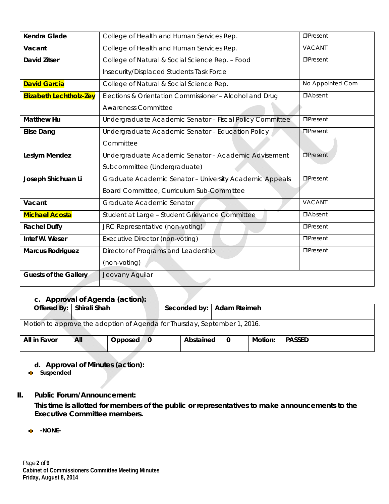| Kendra Glade                   | College of Health and Human Services Rep.                | $\Box$ Present   |
|--------------------------------|----------------------------------------------------------|------------------|
| Vacant                         | College of Health and Human Services Rep.                | VACANT           |
| <b>David Zitser</b>            | College of Natural & Social Science Rep. - Food          | $\Box$ Present   |
|                                | Insecurity/Displaced Students Task Force                 |                  |
| <b>David Garcia</b>            | College of Natural & Social Science Rep.                 | No Appointed Com |
| <b>Elizabeth Lechtholz-Zey</b> | Elections & Orientation Commissioner - Alcohol and Drug  | <b>DAbsent</b>   |
|                                | <b>Awareness Committee</b>                               |                  |
| <b>Matthew Hu</b>              | Undergraduate Academic Senator - Fiscal Policy Committee | $\Box$ Present   |
| <b>Elise Dang</b>              | Undergraduate Academic Senator - Education Policy        | <b>OPresent</b>  |
|                                | Committee                                                |                  |
| Leslym Mendez                  | Undergraduate Academic Senator - Academic Advisement     | $\Box$ Present   |
|                                | Subcommittee (Undergraduate)                             |                  |
| Joseph Shichuan Li             | Graduate Academic Senator - University Academic Appeals  | $\Box$ Present   |
|                                | Board Committee, Curriculum Sub-Committee                |                  |
| Vacant                         | Graduate Academic Senator                                | <b>VACANT</b>    |
| <b>Michael Acosta</b>          | Student at Large - Student Grievance Committee           | <b>DAbsent</b>   |
| <b>Rachel Duffy</b>            | JRC Representative (non-voting)                          | $\Box$ Present   |
| Intef W. Weser                 | Executive Director (non-voting)                          | $\Box$ Present   |
| <b>Marcus Rodriguez</b>        | Director of Programs and Leadership                      | $\Box$ Present   |
|                                | (non-voting)                                             |                  |
| <b>Guests of the Gallery</b>   | Jeovany Aguilar                                          |                  |
|                                |                                                          |                  |

# **c. Approval of Agenda (action):**

| $\sigma$ . $\sigma$<br>Offered By:   Shirali Shah                                 |     |                         |  | Seconded by:   Adam Rteimeh |   |         |               |
|-----------------------------------------------------------------------------------|-----|-------------------------|--|-----------------------------|---|---------|---------------|
| Motion to approve the adoption of Agenda for <b>Ihursday</b> , September 1, 2016. |     |                         |  |                             |   |         |               |
| All in Favor                                                                      | All | Opposed $\vert 0 \vert$ |  | Abstained                   | 0 | Motion: | <b>PASSED</b> |

**d. Approval of Minutes (action):** 

**Suspended** 

**II. Public Forum/Announcement:** 

**This time is allotted for members of the public or representatives to make announcements to the Executive Committee members.** 

**-NONE-**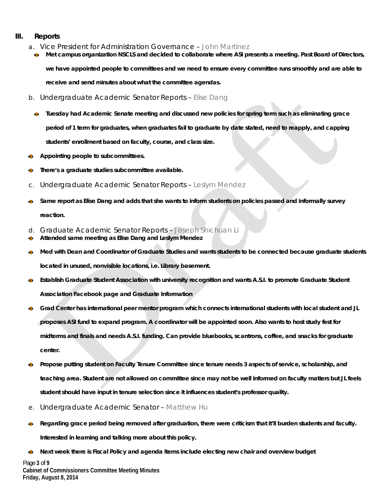### **III. Reports**

- a. Vice President for Administration Governance John Martinez
	- **Met campus organization NSCLS and decided to collaborate where ASI presents a meeting. Past Board of Directors, we have appointed people to committees and we need to ensure every committee runs smoothly and are able to**

**receive and send minutes about what the committee agendas.** 

- b. Undergraduate Academic Senator Reports Elise Dang
	- **Tuesday had Academic Senate meeting and discussed new policies for spring term such as eliminating grace period of 1 term for graduates, when graduates fail to graduate by date stated, need to reapply, and capping students' enrollment based on faculty, course, and class size.**
- **Appointing people to subcommittees.**
- **There's a graduate studies subcommittee available.**
- c. Undergraduate Academic Senator Reports Leslym Mendez
- **Same report as Elise Dang and adds that she wants to inform students on policies passed and informally survey reaction.**
- d. Graduate Academic Senator Reports Joseph Shichuan Li
- **Attended same meeting as Elise Dang and Leslym Mendez**   $\overline{\mathbf{m}}$
- **Med with Dean and Coordinator of Graduate Studies and wants students to be connected because graduate students**  đ. **located in unused, nonvisible locations, i.e. Library basement.**
- **Establish Graduate Student Association with university recognition and wants A.S.I. to promote Graduate Student**  Ø. **Association Facebook page and Graduate Information**
- **Grad Center has international peer mentor program which connects international students with local student and JL proposes ASI fund to expand program. A coordinator will be appointed soon. Also wants to host study fest for midterms and finals and needs A.S.I. funding. Can provide bluebooks, scantrons, coffee, and snacks for graduate center.**
- **Propose putting student on Faculty Tenure Committee since tenure needs 3 aspects of service, scholarship, and**  Ō. **teaching area. Student are not allowed on committee since may not be well informed on faculty matters but JL feels student should have input in tenure selection since it influences student's professor quality.**
- e. Undergraduate Academic Senator Matthew Hu
- **Regarding grace period being removed after graduation, there were criticism that it'll burden students and faculty.**   $\bullet$ **Interested in learning and talking more about this policy.**
- **Next week there is Fiscal Policy and agenda items include electing new chair and overview budget**  $\mathbf{a}$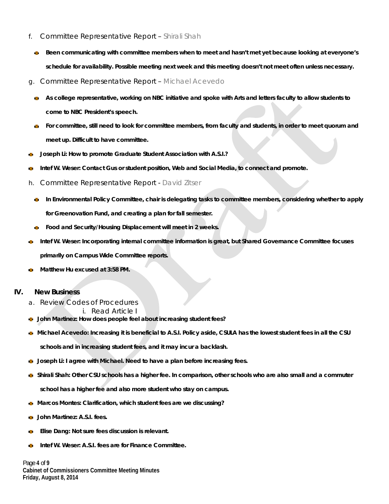- f. Committee Representative Report Shirali Shah
	- **Been communicating with committee members when to meet and hasn't met yet because looking at everyone's schedule for availability. Possible meeting next week and this meeting doesn't not meet often unless necessary.**
- g. Committee Representative Report Michael Acevedo
	- **As college representative, working on NBC initiative and spoke with Arts and letters faculty to allow students to come to NBC President's speech.**
	- **For committee, still need to look for committee members, from faculty and students, in order to meet quorum and meet up. Difficult to have committee.**
- **Joseph Li: How to promote Graduate Student Association with A.S.I.?**
- **Intef W. Weser: Contact Gus or student position, Web and Social Media, to connect and promote.**
- h. Committee Representative Report David Zitser
	- **In Environmental Policy Committee, chair is delegating tasks to committee members, considering whether to apply for Greenovation Fund, and creating a plan for fall semester.**
	- **Food and Security/Housing Displacement will meet in 2 weeks.**
- **Intef W. Weser: Incorporating internal committee information is great, but Shared Governance Committee focuses primarily on Campus Wide Committee reports.**
- **Matthew Hu excused at 3:58 PM.**

### **IV. New Business**

- a. Review Codes of Procedures
	- i. Read Article I
- **John Martinez: How does people feel about increasing student fees?**
- **Michael Acevedo: Increasing it is beneficial to A.S.I. Policy aside, CSULA has the lowest student fees in all the CSU**  C.

**schools and in increasing student fees, and it may incur a backlash.**

- **Joseph Li: I agree with Michael. Need to have a plan before increasing fees.**
- **Shirali Shah: Other CSU schools has a higher fee. In comparison, other schools who are also small and a commuter**

**school has a higher fee and also more student who stay on campus.**

- **Marcos Montes: Clarification, which student fees are we discussing?**   $\bullet$
- **John Martinez: A.S.I. fees.**
- **Elise Dang: Not sure fees discussion is relevant.**
- **Intef W. Weser: A.S.I. fees are for Finance Committee.**

Page **4** of **9 Cabinet of Commissioners Committee Meeting Minutes Friday, August 8, 2014**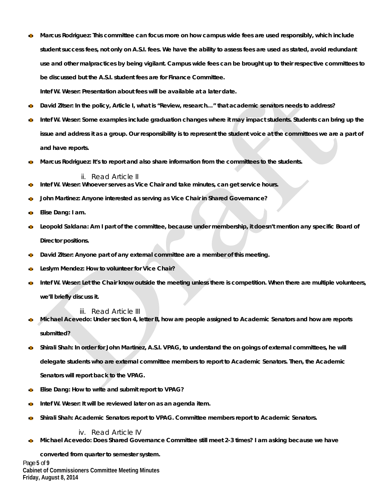Ō. **Marcus Rodriguez: This committee can focus more on how campus wide fees are used responsibly, which include student success fees, not only on A.S.I. fees. We have the ability to assess fees are used as stated, avoid redundant use and other malpractices by being vigilant. Campus wide fees can be brought up to their respective committees to be discussed but the A.S.I. student fees are for Finance Committee.** 

**Intef W. Weser: Presentation about fees will be available at a later date.** 

- **David Zitser: In the policy, Article I, what is "Review, research…" that academic senators needs to address?**
- **Intef W. Weser: Some examples include graduation changes where it may impact students. Students can bring up the issue and address it as a group. Our responsibility is to represent the student voice at the committees we are a part of and have reports.**
- **Marcus Rodriguez: It's to report and also share information from the committees to the students.**  愚

### ii. Read Article II

- **Intef W. Weser: Whoever serves as Vice Chair and take minutes, can get service hours.**  Ō.
- **John Martinez: Anyone interested as serving as Vice Chair in Shared Governance?**
- **Elise Dang: I am.**
- **Leopold Saldana: Am I part of the committee, because under membership, it doesn't mention any specific Board of Director positions.**
- **David Zitser: Anyone part of any external committee are a member of this meeting.**
- **Leslym Mendez: How to volunteer for Vice Chair?**
- **Intef W. Weser: Let the Chair know outside the meeting unless there is competition. When there are multiple volunteers,**   $\mathbf{m}$ **we'll briefly discuss it.**

iii. Read Article III

- **Michael Acevedo: Under section 4, letter B, how are people assigned to Academic Senators and how are reports**  Ō. **submitted?**
- **Shirali Shah: In order for John Martinez, A.S.I. VPAG, to understand the on goings of external committees, he will delegate students who are external committee members to report to Academic Senators. Then, the Academic Senators will report back to the VPAG.**
- **Elise Dang: How to write and submit report to VPAG?**
- **Intef W. Weser: It will be reviewed later on as an agenda item.**
- **Shirali Shah: Academic Senators report to VPAG. Committee members report to Academic Senators.**

iv. Read Article IV

**Michael Acevedo: Does Shared Governance Committee still meet 2-3 times? I am asking because we have**   $\bullet$ 

Page **5** of **9 Cabinet of Commissioners Committee Meeting Minutes Friday, August 8, 2014 converted from quarter to semester system.**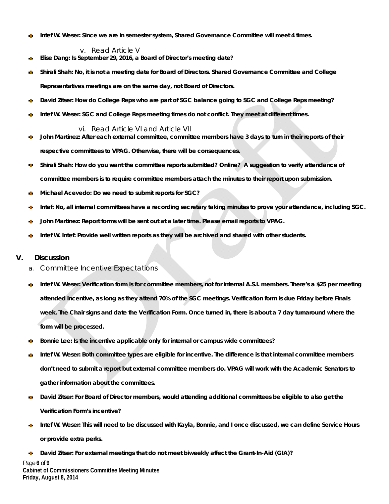**Intef W. Weser: Since we are in semester system, Shared Governance Committee will meet 4 times.**  Ø.

v. Read Article V

- **Elise Dang: Is September 29, 2016, a Board of Director's meeting date?**
- **Shirali Shah: No, it is not a meeting date for Board of Directors. Shared Governance Committee and College Representatives meetings are on the same day, not Board of Directors.**
- **David Zitser: How do College Reps who are part of SGC balance going to SGC and College Reps meeting?**
- **Intef W. Weser: SGC and College Reps meeting times do not conflict. They meet at different times.**

vi. Read Article VI and Article VII

- **John Martinez: After each external committee, committee members have 3 days to turn in their reports of their**  Ø. **respective committees to VPAG. Otherwise, there will be consequences.**
- **Shirali Shah: How do you want the committee reports submitted? Online? A suggestion to verify attendance of**   $\mathfrak{m}$ **committee members is to require committee members attach the minutes to their report upon submission.**
- **Michael Acevedo: Do we need to submit reports for SGC?**  đ.
- **Intef: No, all internal committees have a recording secretary taking minutes to prove your attendance, including SGC.**
- **John Martinez: Report forms will be sent out at a later time. Please email reports to VPAG.**
- **Intef W. Intef: Provide well written reports as they will be archived and shared with other students.**

### **V. Discussion**

- a. Committee Incentive Expectations
- **Intef W. Weser: Verification form is for committee members, not for internal A.S.I. members. There's a \$25 per meeting attended incentive, as long as they attend 70% of the SGC meetings. Verification form is due Friday before Finals week. The Chair signs and date the Verification Form. Once turned in, there is about a 7 day turnaround where the form will be processed.**
- **Bonnie Lee: Is the incentive applicable only for internal or campus wide committees?**
- **Intef W. Weser: Both committee types are eligible for incentive. The difference is that internal committee members don't need to submit a report but external committee members do. VPAG will work with the Academic Senators to gather information about the committees.**
- **David Zitser: For Board of Director members, would attending additional committees be eligible to also get the**  đ. **Verification Form's incentive?**
- **Intef W. Weser: This will need to be discussed with Kayla, Bonnie, and I once discussed, we can define Service Hours or provide extra perks.**

Page **6** of **9 Cabinet of Commissioners Committee Meeting Minutes Friday, August 8, 2014 David Zitser: For external meetings that do not meet biweekly affect the Grant-In-Aid (GIA)?**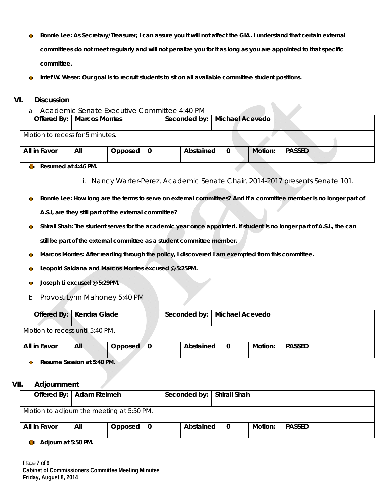- Ō. **Bonnie Lee: As Secretary/Treasurer, I can assure you it will not affect the GIA. I understand that certain external committees do not meet regularly and will not penalize you for it as long as you are appointed to that specific committee.**
- **Intef W. Weser: Our goal is to recruit students to sit on all available committee student positions.** Ō.

## **VI. Discussion**

a. Academic Senate Executive Committee 4:40 PM

| Offered By:   Marcos Montes     |     |         | Seconded by:   Michael Acevedo |   |         |               |  |
|---------------------------------|-----|---------|--------------------------------|---|---------|---------------|--|
| Motion to recess for 5 minutes. |     |         |                                |   |         |               |  |
| All in Favor                    | All | Opposed | Abstained                      | 0 | Motion: | <b>PASSED</b> |  |

#### **Resumed at 4:46 PM.**  G.

- i. Nancy Warter-Perez, Academic Senate Chair, 2014-2017 presents Senate 101.
- **Bonnie Lee: How long are the terms to serve on external committees? And if a committee member is no longer part of**   $\bullet$ **A.S.I, are they still part of the external committee?**
- $\bullet$ **Shirali Shah: The student serves for the academic year once appointed. If student is no longer part of A.S.I., the can still be part of the external committee as a student committee member.**
- **Marcos Montes: After reading through the policy, I discovered I am exempted from this committee.**  Ø.
- **Leopold Saldana and Marcos Montes excused @ 5:25PM. COL**
- **Joseph Li excused @ 5:29PM.**  $\mathbf{m}$
- b. Provost Lynn Mahoney 5:40 PM

| Offered By:   Kendra Glade      |     |         | Seconded by:   Michael Acevedo |   |         |               |  |
|---------------------------------|-----|---------|--------------------------------|---|---------|---------------|--|
| Motion to recess until 5:40 PM. |     |         |                                |   |         |               |  |
| All in Favor                    | All | Opposed | Abstained                      | 0 | Motion: | <b>PASSED</b> |  |

**Resume Session at 5:40 PM. COL** 

### **VII. Adjournment**

| Offered By:   Adam Rteimeh                |     |         | Seconded by:   Shirali Shah |     |         |               |  |
|-------------------------------------------|-----|---------|-----------------------------|-----|---------|---------------|--|
| Motion to adjourn the meeting at 5:50 PM. |     |         |                             |     |         |               |  |
| All in Favor                              | All | Opposed | Abstained                   | l 0 | Motion: | <b>PASSED</b> |  |

**Adjourn at 5:50 PM.** ъ.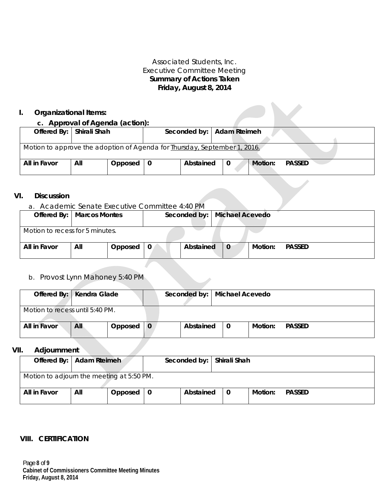# Associated Students, Inc. Executive Committee Meeting **Summary of Actions Taken Friday, August 8, 2014**

# **I. Organizational Items:**

### **c. Approval of Agenda (action):**

| Offered By:   Shirali Shah                                                |     |                         |           | Seconded by:   Adam Rteimeh |  |         |               |  |  |  |
|---------------------------------------------------------------------------|-----|-------------------------|-----------|-----------------------------|--|---------|---------------|--|--|--|
| Motion to approve the adoption of Agenda for Thursday, September 1, 2016. |     |                         |           |                             |  |         |               |  |  |  |
| All in Favor                                                              | All | Opposed $\vert 0 \vert$ | Abstained | $\mathbf 0$                 |  | Motion: | <b>PASSED</b> |  |  |  |

## **VI. Discussion**

a. Academic Senate Executive Committee 4:40 PM

|                                 | Offered By:   Marcos Montes |         |   |           | Seconded by:   Michael Acevedo |         |               |
|---------------------------------|-----------------------------|---------|---|-----------|--------------------------------|---------|---------------|
| Motion to recess for 5 minutes. |                             |         |   |           |                                |         |               |
| All in Favor                    | All                         | Opposed | 0 | Abstained | $\mathbf{0}$                   | Motion: | <b>PASSED</b> |

# b. Provost Lynn Mahoney 5:40 PM

| Offered By:   Kendra Glade      |     |           | Seconded by:   Michael Acevedo |             |         |               |  |
|---------------------------------|-----|-----------|--------------------------------|-------------|---------|---------------|--|
| Motion to recess until 5:40 PM. |     |           |                                |             |         |               |  |
| All in Favor                    | All | Opposed 0 | Abstained                      | $\mathbf 0$ | Motion: | <b>PASSED</b> |  |

## **VII. Adjournment**

| Offered By:   Adam Rteimeh                |     |         |   | Seconded by:   Shirali Shah |   |         |               |  |
|-------------------------------------------|-----|---------|---|-----------------------------|---|---------|---------------|--|
| Motion to adjourn the meeting at 5:50 PM. |     |         |   |                             |   |         |               |  |
| All in Favor                              | All | Opposed | 0 | Abstained                   | 0 | Motion: | <b>PASSED</b> |  |

# **VIII. CERTIFICATION**